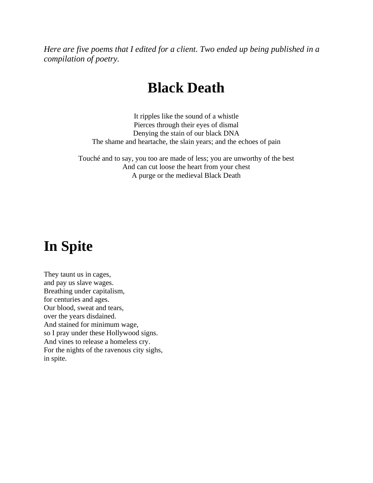*Here are five poems that I edited for a client. Two ended up being published in a compilation of poetry.*

#### **Black Death**

It ripples like the sound of a whistle Pierces through their eyes of dismal Denying the stain of our black DNA The shame and heartache, the slain years; and the echoes of pain

Touché and to say, you too are made of less; you are unworthy of the best And can cut loose the heart from your chest A purge or the medieval Black Death

#### **In Spite**

They taunt us in cages, and pay us slave wages. Breathing under capitalism, for centuries and ages. Our blood, sweat and tears, over the years disdained. And stained for minimum wage, so I pray under these Hollywood signs. And vines to release a homeless cry. For the nights of the ravenous city sighs, in spite.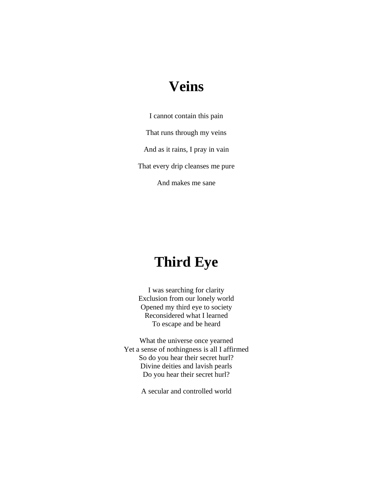### **Veins**

I cannot contain this pain That runs through my veins And as it rains, I pray in vain That every drip cleanses me pure And makes me sane

## **Third Eye**

I was searching for clarity Exclusion from our lonely world Opened my third eye to society Reconsidered what I learned To escape and be heard

What the universe once yearned Yet a sense of nothingness is all I affirmed So do you hear their secret hurl? Divine deities and lavish pearls Do you hear their secret hurl?

A secular and controlled world